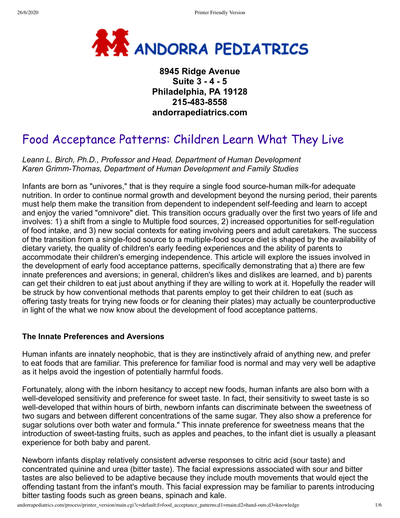

# **8945 Ridge Avenue Suite 3 - 4 - 5 Philadelphia, PA 19128 215-483-8558 andorrapediatrics.com**

# Food Acceptance Patterns: Children Learn What They Live

*Leann L. Birch, Ph.D., Professor and Head, Department of Human Development Karen Grimm-Thomas, Department of Human Development and Family Studies*

Infants are born as "univores," that is they require a single food source-human milk-for adequate nutrition. In order to continue normal growth and development beyond the nursing period, their parents must help them make the transition from dependent to independent self-feeding and learn to accept and enjoy the varied "omnivore" diet. This transition occurs gradually over the first two years of life and involves: 1) a shift from a single to Multiple food sources, 2) increased opportunities for self-regulation of food intake, and 3) new social contexts for eating involving peers and adult caretakers. The success of the transition from a single-food source to a multiple-food source diet is shaped by the availability of dietary variety, the quality of children's early feeding experiences and the ability of parents to accommodate their children's emerging independence. This article will explore the issues involved in the development of early food acceptance patterns, specifically demonstrating that a) there are few innate preferences and aversions; in general, children's likes and dislikes are learned, and b) parents can get their children to eat just about anything if they are willing to work at it. Hopefully the reader will be struck by how conventional methods that parents employ to get their children to eat (such as offering tasty treats for trying new foods or for cleaning their plates) may actually be counterproductive in light of the what we now know about the development of food acceptance patterns.

### **The Innate Preferences and Aversions**

Human infants are innately neophobic, that is they are instinctively afraid of anything new, and prefer to eat foods that are familiar. This preference for familiar food is normal and may very well be adaptive as it helps avoid the ingestion of potentially harmful foods.

Fortunately, along with the inborn hesitancy to accept new foods, human infants are also born with a well-developed sensitivity and preference for sweet taste. In fact, their sensitivity to sweet taste is so well-developed that within hours of birth, newborn infants can discriminate between the sweetness of two sugars and between different concentrations of the same sugar. They also show a preference for sugar solutions over both water and formula." This innate preference for sweetness means that the introduction of sweet-tasting fruits, such as apples and peaches, to the infant diet is usually a pleasant experience for both baby and parent.

Newborn infants display relatively consistent adverse responses to citric acid (sour taste) and concentrated quinine and urea (bitter taste). The facial expressions associated with sour and bitter tastes are also believed to be adaptive because they include mouth movements that would eject the offending tastant from the infant's mouth. This facial expression may be familiar to parents introducing bitter tasting foods such as green beans, spinach and kale.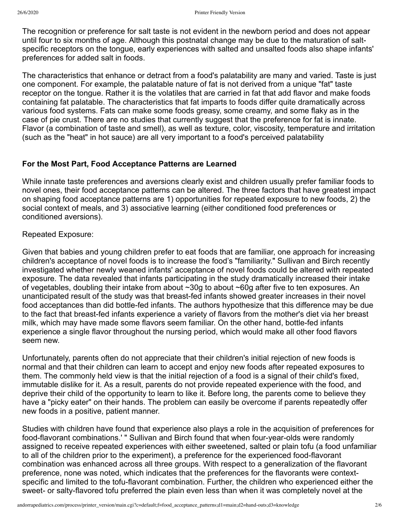The recognition or preference for salt taste is not evident in the newborn period and does not appear until four to six months of age. Although this postnatal change may be due to the maturation of saltspecific receptors on the tongue, early experiences with salted and unsalted foods also shape infants' preferences for added salt in foods.

The characteristics that enhance or detract from a food's palatability are many and varied. Taste is just one component. For example, the palatable nature of fat is not derived from a unique "fat" taste receptor on the tongue. Rather it is the volatiles that are carried in fat that add flavor and make foods containing fat palatable. The characteristics that fat imparts to foods differ quite dramatically across various food systems. Fats can make some foods greasy, some creamy, and some flaky as in the case of pie crust. There are no studies that currently suggest that the preference for fat is innate. Flavor (a combination of taste and smell), as well as texture, color, viscosity, temperature and irritation (such as the "heat" in hot sauce) are all very important to a food's perceived palatability

# **For the Most Part, Food Acceptance Patterns are Learned**

While innate taste preferences and aversions clearly exist and children usually prefer familiar foods to novel ones, their food acceptance patterns can be altered. The three factors that have greatest impact on shaping food acceptance patterns are 1) opportunities for repeated exposure to new foods, 2) the social context of meals, and 3) associative learning (either conditioned food preferences or conditioned aversions).

# Repeated Exposure:

Given that babies and young children prefer to eat foods that are familiar, one approach for increasing children's acceptance of novel foods is to increase the food's "familiarity." Sullivan and Birch recently investigated whether newly weaned infants' acceptance of novel foods could be altered with repeated exposure. The data revealed that infants participating in the study dramatically increased their intake of vegetables, doubling their intake from about ~30g to about ~60g after five to ten exposures. An unanticipated result of the study was that breast-fed infants showed greater increases in their novel food acceptances than did bottle-fed infants. The authors hypothesize that this difference may be due to the fact that breast-fed infants experience a variety of flavors from the mother's diet via her breast milk, which may have made some flavors seem familiar. On the other hand, bottle-fed infants experience a single flavor throughout the nursing period, which would make all other food flavors seem new.

Unfortunately, parents often do not appreciate that their children's initial rejection of new foods is normal and that their children can learn to accept and enjoy new foods after repeated exposures to them. The commonly held view is that the initial rejection of a food is a signal of their child's fixed, immutable dislike for it. As a result, parents do not provide repeated experience with the food, and deprive their child of the opportunity to learn to like it. Before long, the parents come to believe they have a "picky eater" on their hands. The problem can easily be overcome if parents repeatedly offer new foods in a positive, patient manner.

Studies with children have found that experience also plays a role in the acquisition of preferences for food-flavorant combinations.' " Sullivan and Birch found that when four-year-olds were randomly assigned to receive repeated experiences with either sweetened, salted or plain tofu (a food unfamiliar to all of the children prior to the experiment), a preference for the experienced food-flavorant combination was enhanced across all three groups. With respect to a generalization of the flavorant preference, none was noted, which indicates that the preferences for the flavorants were contextspecific and limited to the tofu-flavorant combination. Further, the children who experienced either the sweet- or salty-flavored tofu preferred the plain even less than when it was completely novel at the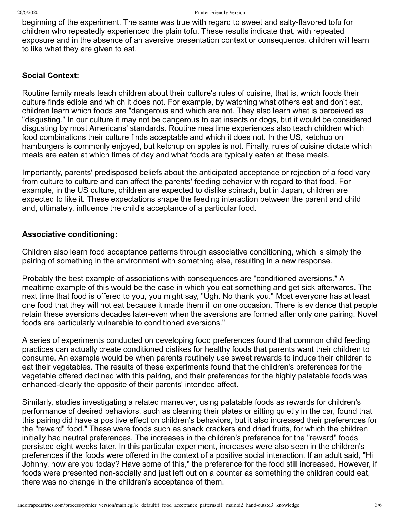beginning of the experiment. The same was true with regard to sweet and salty-flavored tofu for children who repeatedly experienced the plain tofu. These results indicate that, with repeated exposure and in the absence of an aversive presentation context or consequence, children will learn to like what they are given to eat.

# **Social Context:**

Routine family meals teach children about their culture's rules of cuisine, that is, which foods their culture finds edible and which it does not. For example, by watching what others eat and don't eat, children learn which foods are "dangerous and which are not. They also learn what is perceived as "disgusting." In our culture it may not be dangerous to eat insects or dogs, but it would be considered disgusting by most Americans' standards. Routine mealtime experiences also teach children which food combinations their culture finds acceptable and which it does not. In the US, ketchup on hamburgers is commonly enjoyed, but ketchup on apples is not. Finally, rules of cuisine dictate which meals are eaten at which times of day and what foods are typically eaten at these meals.

Importantly, parents' predisposed beliefs about the anticipated acceptance or rejection of a food vary from culture to culture and can affect the parents' feeding behavior with regard to that food. For example, in the US culture, children are expected to dislike spinach, but in Japan, children are expected to like it. These expectations shape the feeding interaction between the parent and child and, ultimately, influence the child's acceptance of a particular food.

# **Associative conditioning:**

Children also learn food acceptance patterns through associative conditioning, which is simply the pairing of something in the environment with something else, resulting in a new response.

Probably the best example of associations with consequences are "conditioned aversions." A mealtime example of this would be the case in which you eat something and get sick afterwards. The next time that food is offered to you, you might say, "Ugh. No thank you." Most everyone has at least one food that they will not eat because it made them ill on one occasion. There is evidence that people retain these aversions decades later-even when the aversions are formed after only one pairing. Novel foods are particularly vulnerable to conditioned aversions."

A series of experiments conducted on developing food preferences found that common child feeding practices can actually create conditioned dislikes for healthy foods that parents want their children to consume. An example would be when parents routinely use sweet rewards to induce their children to eat their vegetables. The results of these experiments found that the children's preferences for the vegetable offered declined with this pairing, and their preferences for the highly palatable foods was enhanced-clearly the opposite of their parents' intended affect.

Similarly, studies investigating a related maneuver, using palatable foods as rewards for children's performance of desired behaviors, such as cleaning their plates or sitting quietly in the car, found that this pairing did have a positive effect on children's behaviors, but it also increased their preferences for the "reward" food." These were foods such as snack crackers and dried fruits, for which the children initially had neutral preferences. The increases in the children's preference for the "reward" foods persisted eight weeks later. In this particular experiment, increases were also seen in the children's preferences if the foods were offered in the context of a positive social interaction. If an adult said, "Hi Johnny, how are you today? Have some of this," the preference for the food still increased. However, if foods were presented non-socially and just left out on a counter as something the children could eat, there was no change in the children's acceptance of them.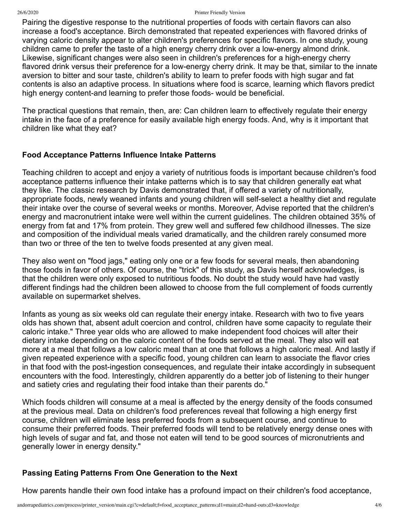#### 26/6/2020 Printer Friendly Version

Pairing the digestive response to the nutritional properties of foods with certain flavors can also increase a food's acceptance. Birch demonstrated that repeated experiences with flavored drinks of varying caloric density appear to alter children's preferences for specific flavors. In one study, young children came to prefer the taste of a high energy cherry drink over a low-energy almond drink. Likewise, significant changes were also seen in children's preferences for a high-energy cherry flavored drink versus their preference for a low-energy cherry drink. It may be that, similar to the innate aversion to bitter and sour taste, children's ability to learn to prefer foods with high sugar and fat contents is also an adaptive process. In situations where food is scarce, learning which flavors predict high energy content-and learning to prefer those foods- would be beneficial.

The practical questions that remain, then, are: Can children learn to effectively regulate their energy intake in the face of a preference for easily available high energy foods. And, why is it important that children like what they eat?

# **Food Acceptance Patterns Influence Intake Patterns**

Teaching children to accept and enjoy a variety of nutritious foods is important because children's food acceptance patterns influence their intake patterns which is to say that children generally eat what they like. The classic research by Davis demonstrated that, if offered a variety of nutritionally, appropriate foods, newly weaned infants and young children will self-select a healthy diet and regulate their intake over the course of several weeks or months. Moreover, Advise reported that the children's energy and macronutrient intake were well within the current guidelines. The children obtained 35% of energy from fat and 17% from protein. They grew well and suffered few childhood illnesses. The size and composition of the individual meals varied dramatically, and the children rarely consumed more than two or three of the ten to twelve foods presented at any given meal.

They also went on "food jags," eating only one or a few foods for several meals, then abandoning those foods in favor of others. Of course, the "trick" of this study, as Davis herself acknowledges, is that the children were only exposed to nutritious foods. No doubt the study would have had vastly different findings had the children been allowed to choose from the full complement of foods currently available on supermarket shelves.

Infants as young as six weeks old can regulate their energy intake. Research with two to five years olds has shown that, absent adult coercion and control, children have some capacity to regulate their caloric intake." Three year olds who are allowed to make independent food choices will alter their dietary intake depending on the caloric content of the foods served at the meal. They also will eat more at a meal that follows a low caloric meal than at one that follows a high caloric meal. And lastly if given repeated experience with a specific food, young children can learn to associate the flavor cries in that food with the post-ingestion consequences, and regulate their intake accordingly in subsequent encounters with the food. Interestingly, children apparently do a better job of listening to their hunger and satiety cries and regulating their food intake than their parents do."

Which foods children will consume at a meal is affected by the energy density of the foods consumed at the previous meal. Data on children's food preferences reveal that following a high energy first course, children will eliminate less preferred foods from a subsequent course, and continue to consume their preferred foods. Their preferred foods will tend to be relatively energy dense ones with high levels of sugar and fat, and those not eaten will tend to be good sources of micronutrients and generally lower in energy density."

# **Passing Eating Patterns From One Generation to the Next**

How parents handle their own food intake has a profound impact on their children's food acceptance,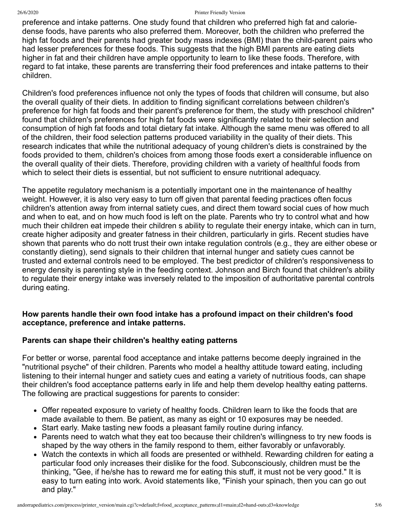#### 26/6/2020 Printer Friendly Version

preference and intake patterns. One study found that children who preferred high fat and caloriedense foods, have parents who also preferred them. Moreover, both the children who preferred the high fat foods and their parents had greater body mass indexes (BMI) than the child-parent pairs who had lesser preferences for these foods. This suggests that the high BMI parents are eating diets higher in fat and their children have ample opportunity to learn to like these foods. Therefore, with regard to fat intake, these parents are transferring their food preferences and intake patterns to their children.

Children's food preferences influence not only the types of foods that children will consume, but also the overall quality of their diets. In addition to finding significant correlations between children's preference for high fat foods and their parent's preference for them, the study with preschool children" found that children's preferences for high fat foods were significantly related to their selection and consumption of high fat foods and total dietary fat intake. Although the same menu was offered to all of the children, their food selection patterns produced variability in the quality of their diets. This research indicates that while the nutritional adequacy of young children's diets is constrained by the foods provided to them, children's choices from among those foods exert a considerable influence on the overall quality of their diets. Therefore, providing children with a variety of healthful foods from which to select their diets is essential, but not sufficient to ensure nutritional adequacy.

The appetite regulatory mechanism is a potentially important one in the maintenance of healthy weight. However, it is also very easy to turn off given that parental feeding practices often focus children's attention away from internal satiety cues, and direct them toward social cues of how much and when to eat, and on how much food is left on the plate. Parents who try to control what and how much their children eat impede their children s ability to regulate their energy intake, which can in turn, create higher adiposity and greater fatness in their children, particularly in girls. Recent studies have shown that parents who do nott trust their own intake regulation controls (e.g., they are either obese or constantly dieting), send signals to their children that internal hunger and satiety cues cannot be trusted and external controls need to be employed. The best predictor of children's responsiveness to energy density is parenting style in the feeding context. Johnson and Birch found that children's ability to regulate their energy intake was inversely related to the imposition of authoritative parental controls during eating.

# **How parents handle their own food intake has a profound impact on their children's food acceptance, preference and intake patterns.**

### **Parents can shape their children's healthy eating patterns**

For better or worse, parental food acceptance and intake patterns become deeply ingrained in the "nutritional psyche" of their children. Parents who model a healthy attitude toward eating, including listening to their internal hunger and satiety cues and eating a variety of nutritious foods, can shape their children's food acceptance patterns early in life and help them develop healthy eating patterns. The following are practical suggestions for parents to consider:

- Offer repeated exposure to variety of healthy foods. Children learn to like the foods that are made available to them. Be patient, as many as eight or 10 exposures may be needed.
- Start early. Make tasting new foods a pleasant family routine during infancy.
- Parents need to watch what they eat too because their children's willingness to try new foods is shaped by the way others in the family respond to them, either favorably or unfavorably.
- Watch the contexts in which all foods are presented or withheld. Rewarding children for eating a particular food only increases their dislike for the food. Subconsciously, children must be the thinking, "Gee, if he/she has to reward me for eating this stuff, it must not be very good." It is easy to turn eating into work. Avoid statements like, "Finish your spinach, then you can go out and play."